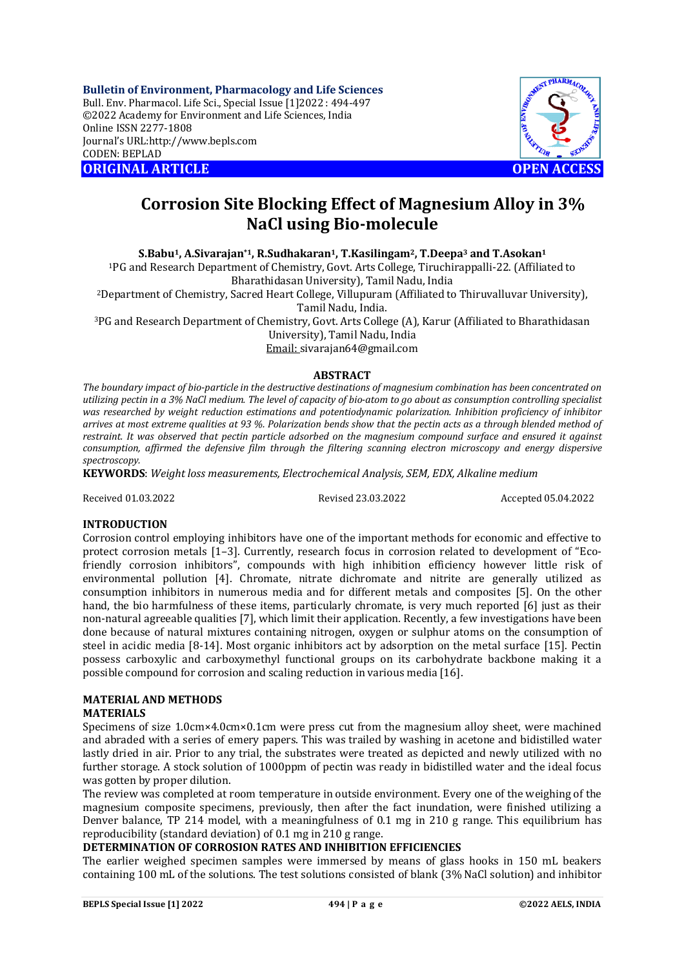**Bulletin of Environment, Pharmacology and Life Sciences** Bull. Env. Pharmacol. Life Sci., Special Issue [1]2022 : 494-497 ©2022 Academy for Environment and Life Sciences, India Online ISSN 2277-1808 Journal's URL:<http://www.bepls.com> CODEN: BEPLAD **ORIGINAL ARTICLE OPEN ACCESS** 



# **Corrosion Site Blocking Effect of Magnesium Alloy in 3% NaCl using Bio-molecule**

**S.Babu1, A.Sivarajan\*1, R.Sudhakaran1, T.Kasilingam2, T.Deepa<sup>3</sup> and T.Asokan<sup>1</sup>**

<sup>1</sup>PG and Research Department of Chemistry, Govt. Arts College, Tiruchirappalli-22. (Affiliated to Bharathidasan University), Tamil Nadu, India

<sup>2</sup>Department of Chemistry, Sacred Heart College, Villupuram (Affiliated to Thiruvalluvar University), Tamil Nadu, India.

<sup>3</sup>PG and Research Department of Chemistry, Govt. Arts College (A), Karur (Affiliated to Bharathidasan

University), Tamil Nadu, India

Email: [sivarajan64@gmail.com](mailto:sivarajan64@gmail.com)

# **ABSTRACT**

*The boundary impact of bio-particle in the destructive destinations of magnesium combination has been concentrated on utilizing pectin in a 3% NaCl medium. The level of capacity of bio-atom to go about as consumption controlling specialist was researched by weight reduction estimations and potentiodynamic polarization. Inhibition proficiency of inhibitor arrives at most extreme qualities at 93 %. Polarization bends show that the pectin acts as a through blended method of restraint. It was observed that pectin particle adsorbed on the magnesium compound surface and ensured it against consumption, affirmed the defensive film through the filtering scanning electron microscopy and energy dispersive spectroscopy.*

**KEYWORDS**: *Weight loss measurements, Electrochemical Analysis, SEM, EDX, Alkaline medium*

Received 01.03.2022 Revised 23.03.2022 Accepted 05.04.2022

# **INTRODUCTION**

Corrosion control employing inhibitors have one of the important methods for economic and effective to protect corrosion metals [1–3]. Currently, research focus in corrosion related to development of "Ecofriendly corrosion inhibitors", compounds with high inhibition efficiency however little risk of environmental pollution [4]. Chromate, nitrate dichromate and nitrite are generally utilized as consumption inhibitors in numerous media and for different metals and composites [5]. On the other hand, the bio harmfulness of these items, particularly chromate, is very much reported [6] just as their non-natural agreeable qualities [7], which limit their application. Recently, a few investigations have been done because of natural mixtures containing nitrogen, oxygen or sulphur atoms on the consumption of steel in acidic media [8-14]. Most organic inhibitors act by adsorption on the metal surface [15]. Pectin possess carboxylic and carboxymethyl functional groups on its carbohydrate backbone making it a possible compound for corrosion and scaling reduction in various media [16].

# **MATERIAL AND METHODS**

# **MATERIALS**

Specimens of size 1.0cm×4.0cm×0.1cm were press cut from the magnesium alloy sheet, were machined and abraded with a series of emery papers. This was trailed by washing in acetone and bidistilled water lastly dried in air. Prior to any trial, the substrates were treated as depicted and newly utilized with no further storage. A stock solution of 1000ppm of pectin was ready in bidistilled water and the ideal focus was gotten by proper dilution.

The review was completed at room temperature in outside environment. Every one of the weighing of the magnesium composite specimens, previously, then after the fact inundation, were finished utilizing a Denver balance, TP 214 model, with a meaningfulness of 0.1 mg in 210 g range. This equilibrium has reproducibility (standard deviation) of 0.1 mg in 210 g range.

# **DETERMINATION OF CORROSION RATES AND INHIBITION EFFICIENCIES**

The earlier weighed specimen samples were immersed by means of glass hooks in 150 mL beakers containing 100 mL of the solutions. The test solutions consisted of blank (3% NaCl solution) and inhibitor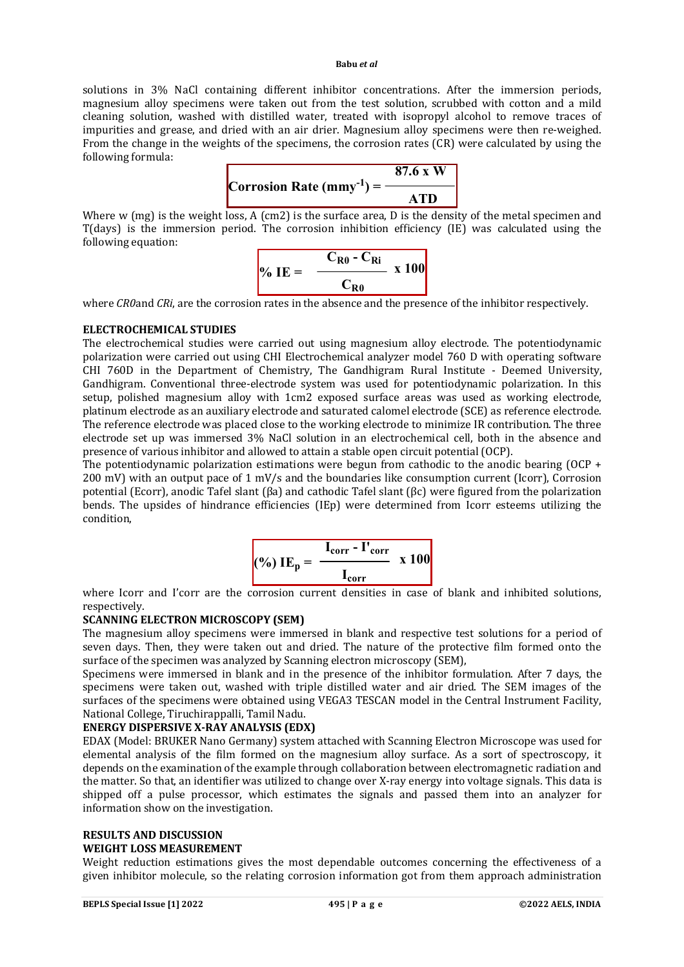#### **Babu** *et al*

solutions in 3% NaCl containing different inhibitor concentrations. After the immersion periods, magnesium alloy specimens were taken out from the test solution, scrubbed with cotton and a mild cleaning solution, washed with distilled water, treated with isopropyl alcohol to remove traces of impurities and grease, and dried with an air drier. Magnesium alloy specimens were then re-weighed. From the change in the weights of the specimens, the corrosion rates (CR) were calculated by using the following formula:



Where w (mg) is the weight loss, A (cm2) is the surface area, D is the density of the metal specimen and T(days) is the immersion period. The corrosion inhibition efficiency (IE) was calculated using the following equation:

$$
\% \text{ IE} = \frac{C_{R0} - C_{Ri}}{C_{R0}} \times 100
$$

where *CR0* and *CRi*, are the corrosion rates in the absence and the presence of the inhibitor respectively.

### **ELECTROCHEMICAL STUDIES**

The electrochemical studies were carried out using magnesium alloy electrode. The potentiodynamic polarization were carried out using CHI Electrochemical analyzer model 760 D with operating software CHI 760D in the Department of Chemistry, The Gandhigram Rural Institute - Deemed University, Gandhigram. Conventional three-electrode system was used for potentiodynamic polarization. In this setup, polished magnesium alloy with 1cm2 exposed surface areas was used as working electrode, platinum electrode as an auxiliary electrode and saturated calomel electrode (SCE) as reference electrode. The reference electrode was placed close to the working electrode to minimize IR contribution. The three electrode set up was immersed 3% NaCl solution in an electrochemical cell, both in the absence and presence of various inhibitor and allowed to attain a stable open circuit potential (OCP).

The potentiodynamic polarization estimations were begun from cathodic to the anodic bearing (OCP  $+$ 200 mV) with an output pace of 1 mV/s and the boundaries like consumption current (Icorr), Corrosion potential (Ecorr), anodic Tafel slant (βa) and cathodic Tafel slant (βc) were figured from the polarization bends. The upsides of hindrance efficiencies (IEp) were determined from Icorr esteems utilizing the condition,

$$
(%) IEp = \frac{I_{corr} - I'_{corr}}{I_{corr}} \times 100
$$

where Icorr and I'corr are the corrosion current densities in case of blank and inhibited solutions, respectively.

### **SCANNING ELECTRON MICROSCOPY (SEM)**

The magnesium alloy specimens were immersed in blank and respective test solutions for a period of seven days. Then, they were taken out and dried. The nature of the protective film formed onto the surface of the specimen was analyzed by Scanning electron microscopy (SEM),

Specimens were immersed in blank and in the presence of the inhibitor formulation. After 7 days, the specimens were taken out, washed with triple distilled water and air dried. The SEM images of the surfaces of the specimens were obtained using VEGA3 TESCAN model in the Central Instrument Facility, National College, Tiruchirappalli, Tamil Nadu.

# **ENERGY DISPERSIVE X-RAY ANALYSIS (EDX)**

EDAX (Model: BRUKER Nano Germany) system attached with Scanning Electron Microscope was used for elemental analysis of the film formed on the magnesium alloy surface. As a sort of spectroscopy, it depends on the examination of the example through collaboration between electromagnetic radiation and the matter. So that, an identifier was utilized to change over X-ray energy into voltage signals. This data is shipped off a pulse processor, which estimates the signals and passed them into an analyzer for information show on the investigation.

# **RESULTS AND DISCUSSION**

# **WEIGHT LOSS MEASUREMENT**

Weight reduction estimations gives the most dependable outcomes concerning the effectiveness of a given inhibitor molecule, so the relating corrosion information got from them approach administration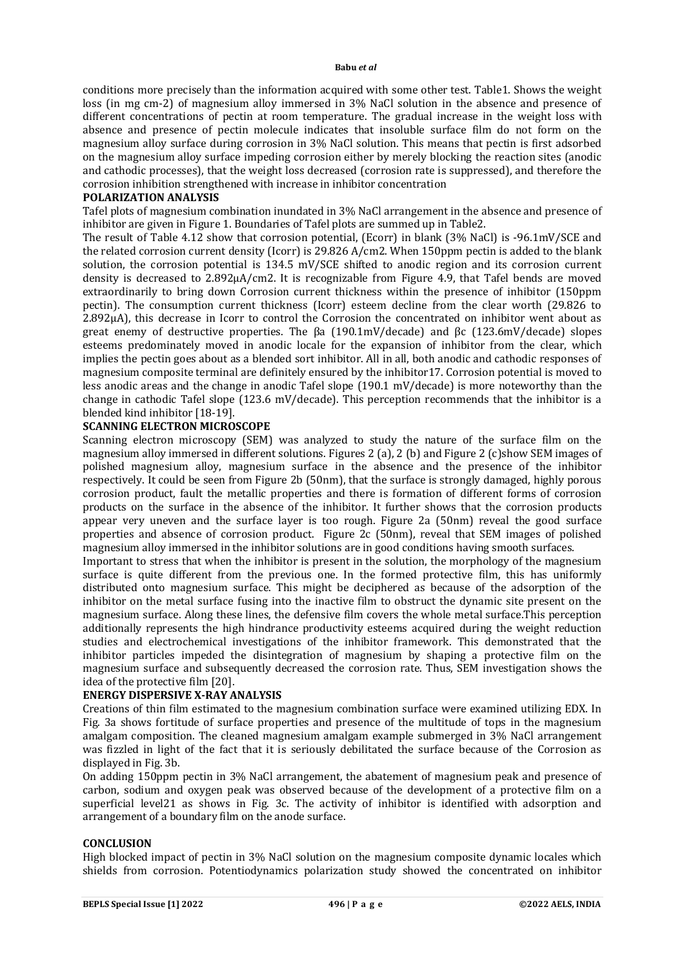conditions more precisely than the information acquired with some other test. Table1. Shows the weight loss (in mg cm-2) of magnesium alloy immersed in 3% NaCl solution in the absence and presence of different concentrations of pectin at room temperature. The gradual increase in the weight loss with absence and presence of pectin molecule indicates that insoluble surface film do not form on the magnesium alloy surface during corrosion in 3% NaCl solution. This means that pectin is first adsorbed on the magnesium alloy surface impeding corrosion either by merely blocking the reaction sites (anodic and cathodic processes), that the weight loss decreased (corrosion rate is suppressed), and therefore the corrosion inhibition strengthened with increase in inhibitor concentration

### **POLARIZATION ANALYSIS**

Tafel plots of magnesium combination inundated in 3% NaCl arrangement in the absence and presence of inhibitor are given in Figure 1. Boundaries of Tafel plots are summed up in Table2.

The result of Table 4.12 show that corrosion potential, (Ecorr) in blank (3% NaCl) is -96.1mV/SCE and the related corrosion current density (Icorr) is 29.826 A/cm2. When 150ppm pectin is added to the blank solution, the corrosion potential is 134.5 mV/SCE shifted to anodic region and its corrosion current density is decreased to 2.892µA/cm2. It is recognizable from Figure 4.9, that Tafel bends are moved extraordinarily to bring down Corrosion current thickness within the presence of inhibitor (150ppm pectin). The consumption current thickness (Icorr) esteem decline from the clear worth (29.826 to 2.892µA), this decrease in Icorr to control the Corrosion the concentrated on inhibitor went about as great enemy of destructive properties. The βa (190.1mV/decade) and βc (123.6mV/decade) slopes esteems predominately moved in anodic locale for the expansion of inhibitor from the clear, which implies the pectin goes about as a blended sort inhibitor. All in all, both anodic and cathodic responses of magnesium composite terminal are definitely ensured by the inhibitor17. Corrosion potential is moved to less anodic areas and the change in anodic Tafel slope (190.1 mV/decade) is more noteworthy than the change in cathodic Tafel slope (123.6 mV/decade). This perception recommends that the inhibitor is a blended kind inhibitor [18-19].

### **SCANNING ELECTRON MICROSCOPE**

Scanning electron microscopy (SEM) was analyzed to study the nature of the surface film on the magnesium alloy immersed in different solutions. Figures 2 (a), 2 (b) and Figure 2 (c)show SEM images of polished magnesium alloy, magnesium surface in the absence and the presence of the inhibitor respectively. It could be seen from Figure 2b (50nm), that the surface is strongly damaged, highly porous corrosion product, fault the metallic properties and there is formation of different forms of corrosion products on the surface in the absence of the inhibitor. It further shows that the corrosion products appear very uneven and the surface layer is too rough. Figure 2a (50nm) reveal the good surface properties and absence of corrosion product. Figure 2c (50nm), reveal that SEM images of polished magnesium alloy immersed in the inhibitor solutions are in good conditions having smooth surfaces.

Important to stress that when the inhibitor is present in the solution, the morphology of the magnesium surface is quite different from the previous one. In the formed protective film, this has uniformly distributed onto magnesium surface. This might be deciphered as because of the adsorption of the inhibitor on the metal surface fusing into the inactive film to obstruct the dynamic site present on the magnesium surface. Along these lines, the defensive film covers the whole metal surface.This perception additionally represents the high hindrance productivity esteems acquired during the weight reduction studies and electrochemical investigations of the inhibitor framework. This demonstrated that the inhibitor particles impeded the disintegration of magnesium by shaping a protective film on the magnesium surface and subsequently decreased the corrosion rate. Thus, SEM investigation shows the idea of the protective film [20].

### **ENERGY DISPERSIVE X-RAY ANALYSIS**

Creations of thin film estimated to the magnesium combination surface were examined utilizing EDX. In Fig. 3a shows fortitude of surface properties and presence of the multitude of tops in the magnesium amalgam composition. The cleaned magnesium amalgam example submerged in 3% NaCl arrangement was fizzled in light of the fact that it is seriously debilitated the surface because of the Corrosion as displayed in Fig. 3b.

On adding 150ppm pectin in 3% NaCl arrangement, the abatement of magnesium peak and presence of carbon, sodium and oxygen peak was observed because of the development of a protective film on a superficial level21 as shows in Fig. 3c. The activity of inhibitor is identified with adsorption and arrangement of a boundary film on the anode surface.

### **CONCLUSION**

High blocked impact of pectin in 3% NaCl solution on the magnesium composite dynamic locales which shields from corrosion. Potentiodynamics polarization study showed the concentrated on inhibitor